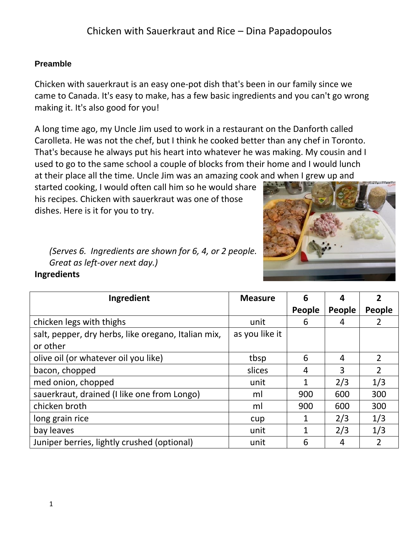### **Preamble**

Chicken with sauerkraut is an easy one-pot dish that's been in our family since we came to Canada. It's easy to make, has a few basic ingredients and you can't go wrong making it. It's also good for you!

A long time ago, my Uncle Jim used to work in a restaurant on the Danforth called Carolleta. He was not the chef, but I think he cooked better than any chef in Toronto. That's because he always put his heart into whatever he was making. My cousin and I used to go to the same school a couple of blocks from their home and I would lunch at their place all the time. Uncle Jim was an amazing cook and when I grew up and

started cooking, I would often call him so he would share his recipes. Chicken with sauerkraut was one of those dishes. Here is it for you to try.



*(Serves 6. Ingredients are shown for 6, 4, or 2 people. Great as left-over next day.)* **Ingredients** 

| Ingredient                                          | <b>Measure</b> | 6            | 4             |                |
|-----------------------------------------------------|----------------|--------------|---------------|----------------|
|                                                     |                | People       | <b>People</b> | People         |
| chicken legs with thighs                            | unit           | 6            | 4             |                |
| salt, pepper, dry herbs, like oregano, Italian mix, | as you like it |              |               |                |
| or other                                            |                |              |               |                |
| olive oil (or whatever oil you like)                | tbsp           | 6            | 4             | $\overline{2}$ |
| bacon, chopped                                      | slices         | 4            | 3             | $\overline{2}$ |
| med onion, chopped                                  | unit           | $\mathbf{1}$ | 2/3           | 1/3            |
| sauerkraut, drained (I like one from Longo)         | ml             | 900          | 600           | 300            |
| chicken broth                                       | ml             | 900          | 600           | 300            |
| long grain rice                                     | cup            | 1            | 2/3           | 1/3            |
| bay leaves                                          | unit           |              | 2/3           | 1/3            |
| Juniper berries, lightly crushed (optional)         | unit           | 6            | 4             | $\overline{2}$ |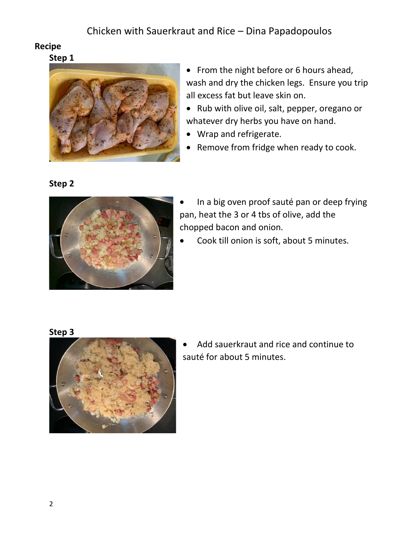### **Recipe**

**Step 1**



- From the night before or 6 hours ahead, wash and dry the chicken legs. Ensure you trip all excess fat but leave skin on.
- Rub with olive oil, salt, pepper, oregano or whatever dry herbs you have on hand.
- Wrap and refrigerate.
- Remove from fridge when ready to cook.

### **Step 2**



- In a big oven proof sauté pan or deep frying pan, heat the 3 or 4 tbs of olive, add the chopped bacon and onion.
- Cook till onion is soft, about 5 minutes.

### **Step 3**



• Add sauerkraut and rice and continue to sauté for about 5 minutes.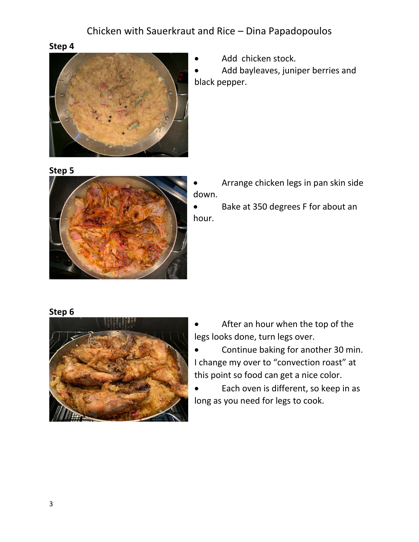### **Step 4**



Add chicken stock.

Add bayleaves, juniper berries and black pepper.





• Arrange chicken legs in pan skin side down.

• Bake at 350 degrees F for about an hour.

### **Step 6**



- After an hour when the top of the legs looks done, turn legs over.
- Continue baking for another 30 min. I change my over to "convection roast" at this point so food can get a nice color.
- Each oven is different, so keep in as long as you need for legs to cook.